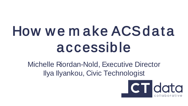# How we make ACS data accessible

Michelle Riordan-Nold, Executive Director Ilya Ilyankou, Civic Technologist

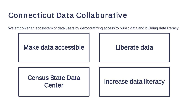### Connecticut Data Collaborative

We empower an ecosystem of data users by democratizing access to public data and building data literacy.

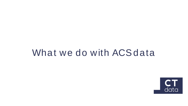## What we do with ACS data

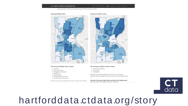#### Health in Hartford's Neighborhoods

physical quality of the housing stock as part of the built environment.



#### The Housing Stability Index includes:

- · occupancy,
- · rent to income ratio,
- · mortgage to income ratio,
- · eviction rate,
- · foreclosure rate,
- · average length of tenure, and
- · assessed price per square foot.

Each tract could receive a potential score from 7 to 35. The most unstable

#### The Housing Conditions Index includes:

- · housing code violations,
- · vacancy rates,
- · fire incidents.

Each tract could receive a potential score from 2 to 30. For Housing Conditions Index, the highest census tract scored 29, while the lowest scored  $\mathcal{D}$ 

 $23 +$ 

Northeast, Clay Arsenal, Upper Albany, and Asylum Hill neighborhoods have some of the most deleterious housing conditions



### hartforddata.ctdata.org/story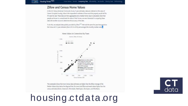#### **Zillow and Census Home Values**

DATA O ... Housing Portal Alpha

COLLABORATIVE

In the U.S. Census American Community Survey 5-year estimates, data are collected on the value of Owner-Occupied Housing. Value is the respondent's estimate of how much the property would sell for if it were for sale. These data are then aggregated and a median home value is calculated. Given that people are known to overestimate the value of their homes, we were interested in comparing these data with another source to determine the accuracy of the data.

To do this, we analyzed data publicly provided by Zillow<sup>1,2,3</sup>. We took the same five year time period as the Census ACS 5-year estimates (from 2012 to 2016) and averaged the monthly median values



The scatterplot shows that most Census data estimates are higher than the Zillow Average of the Median Values (dots below the diagonal line). Six towns had Zillow estimated values higher than the census estimates (Darien, Greenwich, Winchester, Washington, Stonington, and Windham).

## housing ctdata org

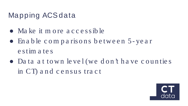### Mapping ACS data

- Ma ke it m o re a c c e s s ib le
- En a b le c o m p a ris o n s b e twe e n 5- ye a r e s tim a te s
- Da ta a t to wn le ve l (we d o n 't h a ve c o u n tie s in CT) and census tract

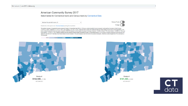#### American Community Survey 2017

Select tables for Connecticut towns and Census tracts by Connecticut Data

Median Household Income, \$



Double-click on the map for zoom. Download dataset powering this visualization.

The median increase in household income across all towns in Connecticut was 5.8%. In 129 towns, median household income increased, most significant increases in North Canaan (+26,400, or +58%), Westbrook (+31,700, or +50%), and Southbury (+23,100, or +34%). Note that North Canaan and Westbrook both have large margins of errors due to small populations. In 40 towns, median household income decreased compared to 2008-2012 estimate, with the highest decreases occurring in Ansonia (~ -\$9,200, or nearly -17%), New London (~ -\$6,800, or -15%), and East Haddam (~ \$13,000, or -14%). Hartford remains the town with the lowest median household income in Connecticut despite a 17% increase in median household income between ACS 2008-2012 and 2013-2017 estimates. New Haven median income increased 1.8% and changing its rank from 2nd to 3rd poorest municipality, while New London dropped from 7th to 2nd due to a 15% decrease







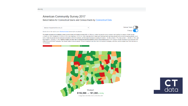#### **American Community Survey 2017**

Select tables for Connecticut towns and Census tracts by Connecticut Data

Median Household Income, \$



Double-click on the map for zoom. Download dataset powering this visualization.

The median increase in household income across all towns in Connecticut was 5.8%. In 129 towns, median household income increased, most significant increases in North Canaan (+26,400, or +58%), Westbrook (+31,700, or +50%), and Southbury (+23,100, or +34%). Note that North Canaan and Westbrook both have large margins of errors due to small populations. In 40 towns, median household income decreased compared to 2008-2012 estimate, with the highest decreases occurring in Ansonia (~-\$9,200, or nearly -17%). New London (~-\$6,800, or -15%), and East Haddam (~ \$13,000, or -14%). Hartford remains the town with the lowest median household income in Connecticut despite a 17% increase in median household income between ACS 2008-2012 and 2013-2017 estimates. New Haven median income increased 1.8% and changing its rank from 2nd to 3rd poorest municipality, while New London dropped from 7th to 2nd due to a 15% decrease.

 $\mathbf{v}$ 

 $11 +$ 



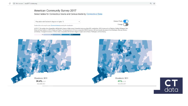#### American Community Survey 2017

Select tables for Connecticut towns and Census tracts by Connecticut Data

| Population with Bachelor's degree or higher, %                                  | <b>Census Tracts</b> |
|---------------------------------------------------------------------------------|----------------------|
| Double-click on the map for zoom. Download dataset powering this visualization. | Change               |

In 2013-17, the median share of population with Bachelor's degree or higher across Connecticut towns was about 40%, ranging from <20% in towns such as Waterbury, Hartford, Bridgeport, New Britain and East Hartford, to >80% in Darien and Weston. The share got lower in 45 towns compared to 2008-12 estimate, with most dramatic decreases in North Stonington, Sherman, Goshen, and Bethany. The highest increases (> +10%) in share of population with Bachelor's degree or higher were in Sharon, Washington, and East Granby.



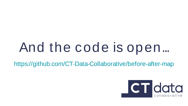# And the code is open...

<https://github.com/CT-Data-Collaborative/before-after-map>